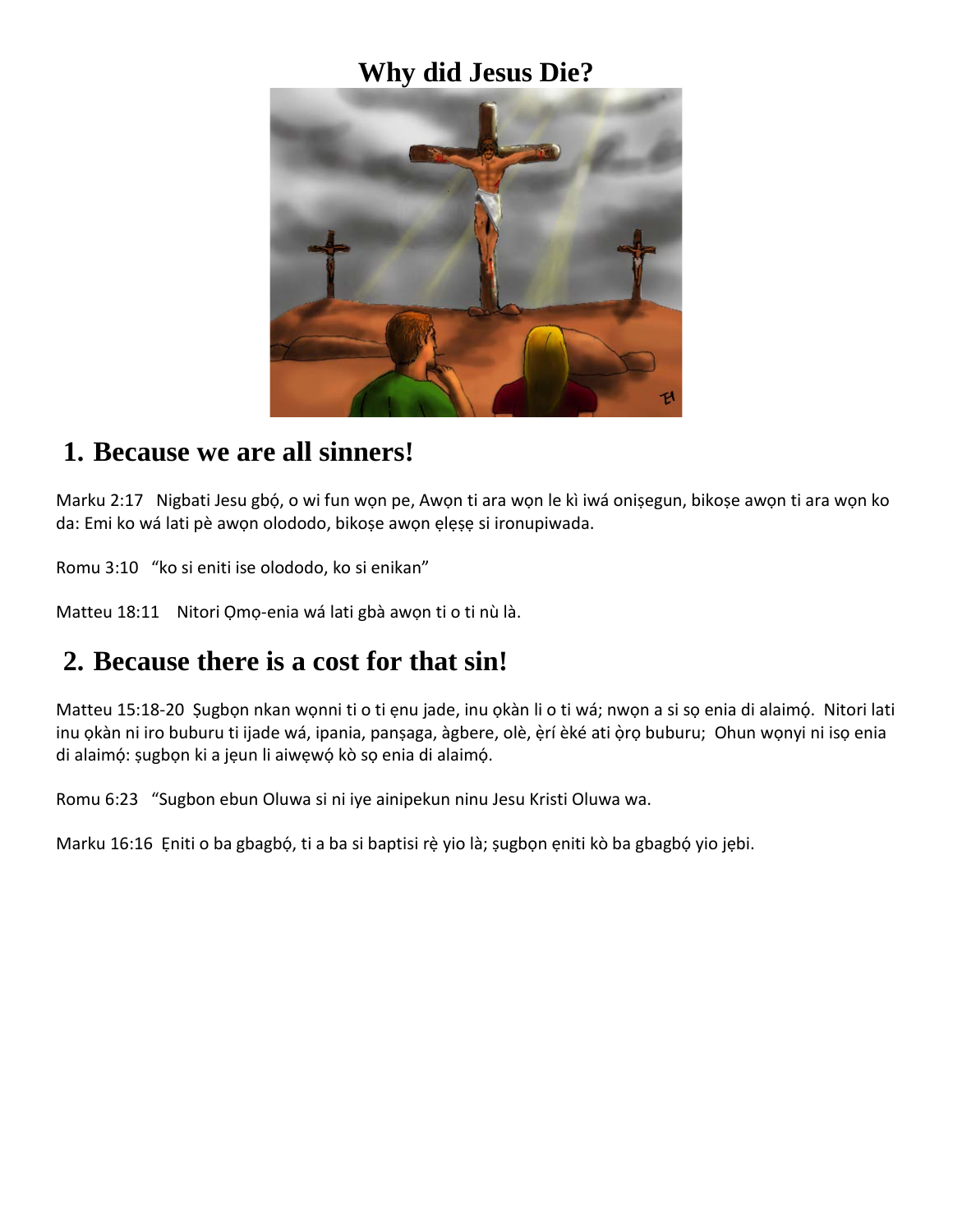### **Why did Jesus Die?**



#### **1. Because we are all sinners!**

Marku 2:17 Nigbati Jesu gbộ, o wi fun wọn pe, Awọn ti ara wọn le kì iwá onișegun, bikoșe awọn ti ara wọn ko da: Emi ko wá lati pè awọn olododo, bikoṣe awọn ẹlẹṣẹ si ironupiwada.

Romu 3:10 "ko si eniti ise olododo, ko si enikan"

Matteu 18:11 Nitori Ọmọ-enia wá lati gbà awọn ti o ti nù là.

# **2. Because there is a cost for that sin!**

Matteu 15:18-20 Ṣugbọn nkan wọnni ti o ti ẹnu jade, inu ọkàn li o ti wá; nwọn a si sọ enia di alaimọ́. Nitori lati inu ọkàn ni iro buburu ti ijade wá, ipania, panṣaga, àgbere, olè, ẹ̀rí èké ati ọ̀rọ buburu; Ohun wọnyi ni isọ enia di alaimọ́: sugbọn ki a jẹun li aiwẹwọ́ kò sọ enia di alaimọ́.

Romu 6:23 "Sugbon ebun Oluwa si ni iye ainipekun ninu Jesu Kristi Oluwa wa.

Marku 16:16 Eniti o ba gbagbó, ti a ba si baptisi rè yio là; sugbon eniti kò ba gbagbó yio jebi.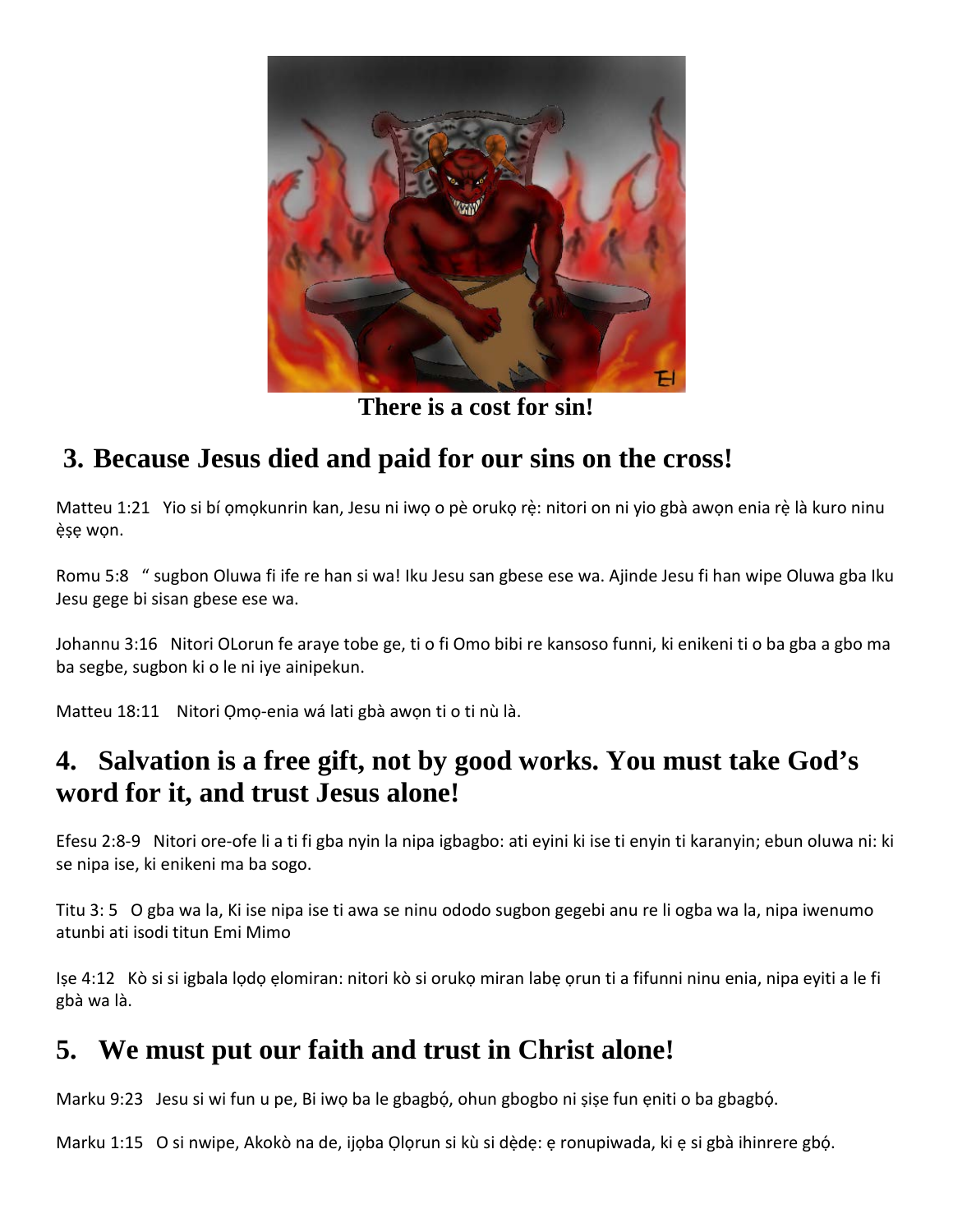

**There is a cost for sin!**

# **3. Because Jesus died and paid for our sins on the cross!**

Matteu 1:21 Yio si bí omokunrin kan, Jesu ni iwo o pè oruko rè: nitori on ni yio gbà awon enia rè là kuro ninu ẹ̀ṣẹ wọn.

Romu 5:8 " sugbon Oluwa fi ife re han si wa! Iku Jesu san gbese ese wa. Ajinde Jesu fi han wipe Oluwa gba Iku Jesu gege bi sisan gbese ese wa.

Johannu 3:16 Nitori OLorun fe araye tobe ge, ti o fi Omo bibi re kansoso funni, ki enikeni ti o ba gba a gbo ma ba segbe, sugbon ki o le ni iye ainipekun.

Matteu 18:11 Nitori Ọmọ-enia wá lati gbà awọn ti o ti nù là.

### **4. Salvation is a free gift, not by good works. You must take God's word for it, and trust Jesus alone!**

Efesu 2:8-9 Nitori ore-ofe li a ti fi gba nyin la nipa igbagbo: ati eyini ki ise ti enyin ti karanyin; ebun oluwa ni: ki se nipa ise, ki enikeni ma ba sogo.

Titu 3: 5 O gba wa la, Ki ise nipa ise ti awa se ninu ododo sugbon gegebi anu re li ogba wa la, nipa iwenumo atunbi ati isodi titun Emi Mimo

Iṣe 4:12 Kò si si igbala lọdọ ẹlomiran: nitori kò si orukọ miran labẹ ọrun ti a fifunni ninu enia, nipa eyiti a le fi gbà wa là.

# **5. We must put our faith and trust in Christ alone!**

Marku 9:23 Jesu si wi fun u pe, Bi iwọ ba le gbagbó, ohun gbogbo ni sise fun eniti o ba gbagbó.

Marku 1:15 O si nwipe, Akokò na de, ijọba Ọlọrun si kù si dède: e ronupiwada, ki e si gbà ihinrere gbọ́.